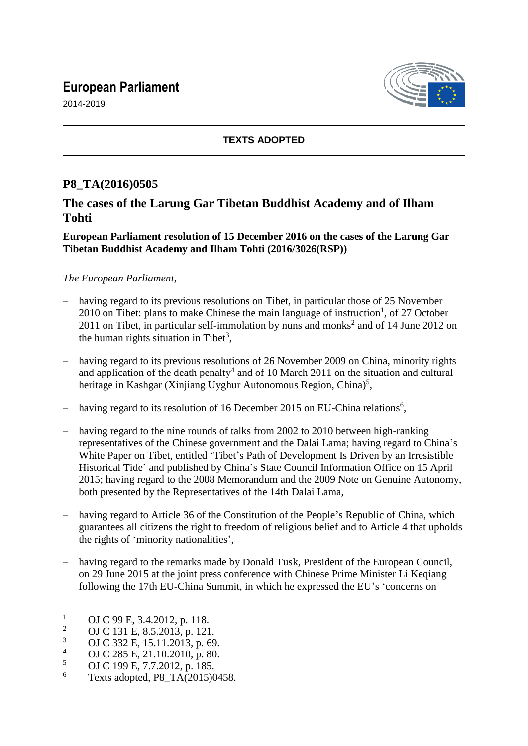# **European Parliament**





### **TEXTS ADOPTED**

# **P8\_TA(2016)0505**

## **The cases of the Larung Gar Tibetan Buddhist Academy and of Ilham Tohti**

#### **European Parliament resolution of 15 December 2016 on the cases of the Larung Gar Tibetan Buddhist Academy and Ilham Tohti (2016/3026(RSP))**

#### *The European Parliament*,

- having regard to its previous resolutions on Tibet, in particular those of 25 November 2010 on Tibet: plans to make Chinese the main language of instruction<sup>1</sup>, of 27 October 2011 on Tibet, in particular self-immolation by nuns and monks<sup>2</sup> and of 14 June 2012 on the human rights situation in Tibet<sup>3</sup>,
- having regard to its previous resolutions of 26 November 2009 on China, minority rights and application of the death penalty<sup>4</sup> and of 10 March 2011 on the situation and cultural heritage in Kashgar (Xinjiang Uyghur Autonomous Region, China)<sup>5</sup>,
- having regard to its resolution of 16 December 2015 on EU-China relations<sup>6</sup>,
- having regard to the nine rounds of talks from 2002 to 2010 between high-ranking representatives of the Chinese government and the Dalai Lama; having regard to China's White Paper on Tibet, entitled 'Tibet's Path of Development Is Driven by an Irresistible Historical Tide' and published by China's State Council Information Office on 15 April 2015; having regard to the 2008 Memorandum and the 2009 Note on Genuine Autonomy, both presented by the Representatives of the 14th Dalai Lama,
- having regard to Article 36 of the Constitution of the People's Republic of China, which guarantees all citizens the right to freedom of religious belief and to Article 4 that upholds the rights of 'minority nationalities',
- having regard to the remarks made by Donald Tusk, President of the European Council, on 29 June 2015 at the joint press conference with Chinese Prime Minister Li Keqiang following the 17th EU-China Summit, in which he expressed the EU's 'concerns on

 $\overline{1}$  $\frac{1}{2}$  OJ C 99 E, 3.4.2012, p. 118.

<sup>&</sup>lt;sup>2</sup> OJ C 131 E, 8.5.2013, p. 121.

<sup>&</sup>lt;sup>3</sup> OJ C 332 E, 15.11.2013, p. 69.

 $^{4}$  OJ C 285 E, 21.10.2010, p. 80.

 $^{5}$  OJ C 199 E, 7.7.2012, p. 185.

Texts adopted, P8\_TA(2015)0458.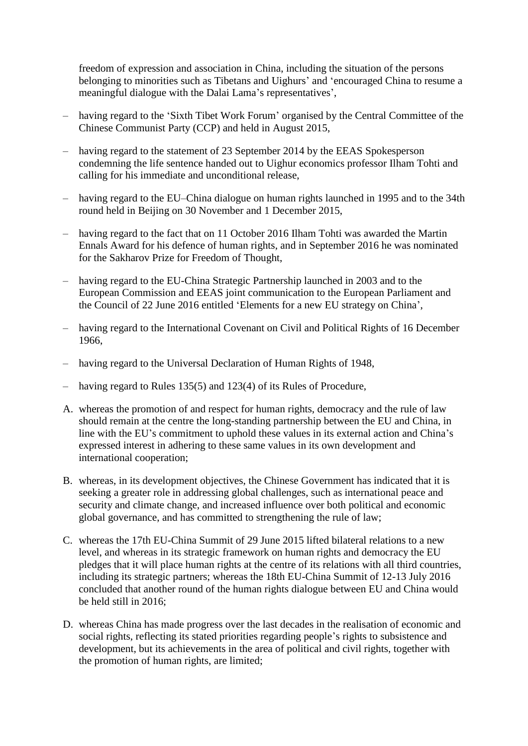freedom of expression and association in China, including the situation of the persons belonging to minorities such as Tibetans and Uighurs' and 'encouraged China to resume a meaningful dialogue with the Dalai Lama's representatives',

- having regard to the 'Sixth Tibet Work Forum' organised by the Central Committee of the Chinese Communist Party (CCP) and held in August 2015,
- having regard to the statement of 23 September 2014 by the EEAS Spokesperson condemning the life sentence handed out to Uighur economics professor Ilham Tohti and calling for his immediate and unconditional release,
- having regard to the EU–China dialogue on human rights launched in 1995 and to the 34th round held in Beijing on 30 November and 1 December 2015,
- having regard to the fact that on 11 October 2016 Ilham Tohti was awarded the Martin Ennals Award for his defence of human rights, and in September 2016 he was nominated for the Sakharov Prize for Freedom of Thought,
- having regard to the EU-China Strategic Partnership launched in 2003 and to the European Commission and EEAS joint communication to the European Parliament and the Council of 22 June 2016 entitled 'Elements for a new EU strategy on China',
- having regard to the International Covenant on Civil and Political Rights of 16 December 1966,
- having regard to the Universal Declaration of Human Rights of 1948,
- having regard to Rules 135(5) and 123(4) of its Rules of Procedure,
- A. whereas the promotion of and respect for human rights, democracy and the rule of law should remain at the centre the long-standing partnership between the EU and China, in line with the EU's commitment to uphold these values in its external action and China's expressed interest in adhering to these same values in its own development and international cooperation;
- B. whereas, in its development objectives, the Chinese Government has indicated that it is seeking a greater role in addressing global challenges, such as international peace and security and climate change, and increased influence over both political and economic global governance, and has committed to strengthening the rule of law;
- C. whereas the 17th EU-China Summit of 29 June 2015 lifted bilateral relations to a new level, and whereas in its strategic framework on human rights and democracy the EU pledges that it will place human rights at the centre of its relations with all third countries, including its strategic partners; whereas the 18th EU-China Summit of 12-13 July 2016 concluded that another round of the human rights dialogue between EU and China would be held still in 2016;
- D. whereas China has made progress over the last decades in the realisation of economic and social rights, reflecting its stated priorities regarding people's rights to subsistence and development, but its achievements in the area of political and civil rights, together with the promotion of human rights, are limited;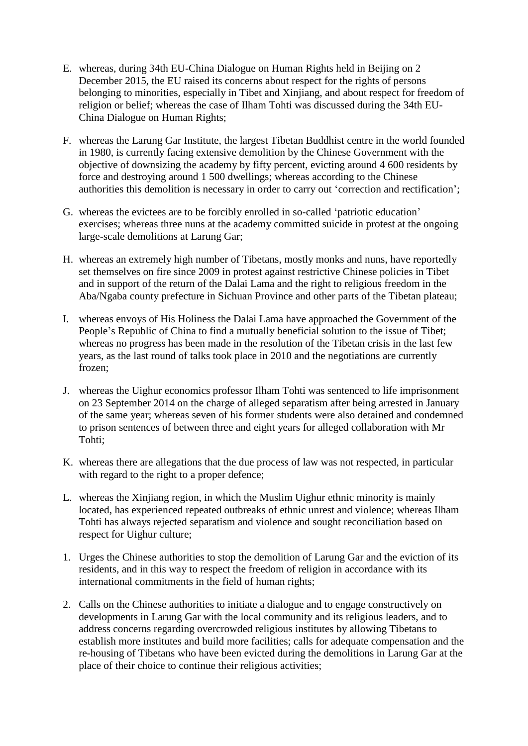- E. whereas, during 34th EU-China Dialogue on Human Rights held in Beijing on 2 December 2015, the EU raised its concerns about respect for the rights of persons belonging to minorities, especially in Tibet and Xinjiang, and about respect for freedom of religion or belief; whereas the case of Ilham Tohti was discussed during the 34th EU-China Dialogue on Human Rights;
- F. whereas the Larung Gar Institute, the largest Tibetan Buddhist centre in the world founded in 1980, is currently facing extensive demolition by the Chinese Government with the objective of downsizing the academy by fifty percent, evicting around 4 600 residents by force and destroying around 1 500 dwellings; whereas according to the Chinese authorities this demolition is necessary in order to carry out 'correction and rectification';
- G. whereas the evictees are to be forcibly enrolled in so-called 'patriotic education' exercises; whereas three nuns at the academy committed suicide in protest at the ongoing large-scale demolitions at Larung Gar;
- H. whereas an extremely high number of Tibetans, mostly monks and nuns, have reportedly set themselves on fire since 2009 in protest against restrictive Chinese policies in Tibet and in support of the return of the Dalai Lama and the right to religious freedom in the Aba/Ngaba county prefecture in Sichuan Province and other parts of the Tibetan plateau;
- I. whereas envoys of His Holiness the Dalai Lama have approached the Government of the People's Republic of China to find a mutually beneficial solution to the issue of Tibet; whereas no progress has been made in the resolution of the Tibetan crisis in the last few years, as the last round of talks took place in 2010 and the negotiations are currently frozen;
- J. whereas the Uighur economics professor Ilham Tohti was sentenced to life imprisonment on 23 September 2014 on the charge of alleged separatism after being arrested in January of the same year; whereas seven of his former students were also detained and condemned to prison sentences of between three and eight years for alleged collaboration with Mr Tohti;
- K. whereas there are allegations that the due process of law was not respected, in particular with regard to the right to a proper defence;
- L. whereas the Xinjiang region, in which the Muslim Uighur ethnic minority is mainly located, has experienced repeated outbreaks of ethnic unrest and violence; whereas Ilham Tohti has always rejected separatism and violence and sought reconciliation based on respect for Uighur culture;
- 1. Urges the Chinese authorities to stop the demolition of Larung Gar and the eviction of its residents, and in this way to respect the freedom of religion in accordance with its international commitments in the field of human rights;
- 2. Calls on the Chinese authorities to initiate a dialogue and to engage constructively on developments in Larung Gar with the local community and its religious leaders, and to address concerns regarding overcrowded religious institutes by allowing Tibetans to establish more institutes and build more facilities; calls for adequate compensation and the re-housing of Tibetans who have been evicted during the demolitions in Larung Gar at the place of their choice to continue their religious activities;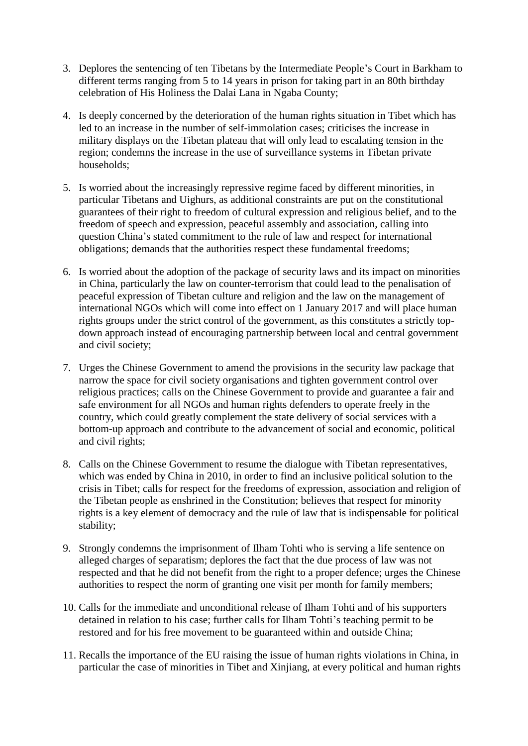- 3. Deplores the sentencing of ten Tibetans by the Intermediate People's Court in Barkham to different terms ranging from 5 to 14 years in prison for taking part in an 80th birthday celebration of His Holiness the Dalai Lana in Ngaba County;
- 4. Is deeply concerned by the deterioration of the human rights situation in Tibet which has led to an increase in the number of self-immolation cases; criticises the increase in military displays on the Tibetan plateau that will only lead to escalating tension in the region; condemns the increase in the use of surveillance systems in Tibetan private households;
- 5. Is worried about the increasingly repressive regime faced by different minorities, in particular Tibetans and Uighurs, as additional constraints are put on the constitutional guarantees of their right to freedom of cultural expression and religious belief, and to the freedom of speech and expression, peaceful assembly and association, calling into question China's stated commitment to the rule of law and respect for international obligations; demands that the authorities respect these fundamental freedoms;
- 6. Is worried about the adoption of the package of security laws and its impact on minorities in China, particularly the law on counter-terrorism that could lead to the penalisation of peaceful expression of Tibetan culture and religion and the law on the management of international NGOs which will come into effect on 1 January 2017 and will place human rights groups under the strict control of the government, as this constitutes a strictly topdown approach instead of encouraging partnership between local and central government and civil society;
- 7. Urges the Chinese Government to amend the provisions in the security law package that narrow the space for civil society organisations and tighten government control over religious practices; calls on the Chinese Government to provide and guarantee a fair and safe environment for all NGOs and human rights defenders to operate freely in the country, which could greatly complement the state delivery of social services with a bottom-up approach and contribute to the advancement of social and economic, political and civil rights;
- 8. Calls on the Chinese Government to resume the dialogue with Tibetan representatives, which was ended by China in 2010, in order to find an inclusive political solution to the crisis in Tibet; calls for respect for the freedoms of expression, association and religion of the Tibetan people as enshrined in the Constitution; believes that respect for minority rights is a key element of democracy and the rule of law that is indispensable for political stability;
- 9. Strongly condemns the imprisonment of Ilham Tohti who is serving a life sentence on alleged charges of separatism; deplores the fact that the due process of law was not respected and that he did not benefit from the right to a proper defence; urges the Chinese authorities to respect the norm of granting one visit per month for family members;
- 10. Calls for the immediate and unconditional release of Ilham Tohti and of his supporters detained in relation to his case; further calls for Ilham Tohti's teaching permit to be restored and for his free movement to be guaranteed within and outside China;
- 11. Recalls the importance of the EU raising the issue of human rights violations in China, in particular the case of minorities in Tibet and Xinjiang, at every political and human rights